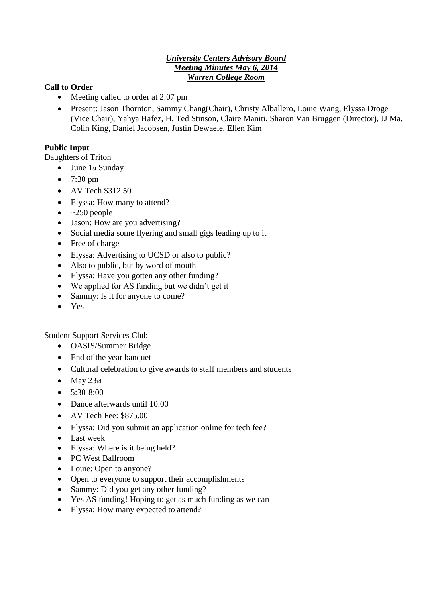### *University Centers Advisory Board Meeting Minutes May 6, 2014 Warren College Room*

### **Call to Order**

- Meeting called to order at 2:07 pm
- Present: Jason Thornton, Sammy Chang(Chair), Christy Alballero, Louie Wang, Elyssa Droge (Vice Chair), Yahya Hafez, H. Ted Stinson, Claire Maniti, Sharon Van Bruggen (Director), JJ Ma, Colin King, Daniel Jacobsen, Justin Dewaele, Ellen Kim

## **Public Input**

Daughters of Triton

- June 1st Sunday
- $\bullet$  7:30 pm
- AV Tech \$312.50
- Elyssa: How many to attend?
- $\bullet$  ~250 people
- Jason: How are you advertising?
- Social media some flyering and small gigs leading up to it
- Free of charge
- Elyssa: Advertising to UCSD or also to public?
- Also to public, but by word of mouth
- Elyssa: Have you gotten any other funding?
- We applied for AS funding but we didn't get it
- Sammy: Is it for anyone to come?
- Yes

Student Support Services Club

- OASIS/Summer Bridge
- End of the year banquet
- Cultural celebration to give awards to staff members and students
- $\bullet$  May 23rd
- $\bullet$  5:30-8:00
- Dance afterwards until 10:00
- $\bullet$  AV Tech Fee: \$875.00
- Elyssa: Did you submit an application online for tech fee?
- Last week
- Elyssa: Where is it being held?
- PC West Ballroom
- Louie: Open to anyone?
- Open to everyone to support their accomplishments
- Sammy: Did you get any other funding?
- Yes AS funding! Hoping to get as much funding as we can
- Elyssa: How many expected to attend?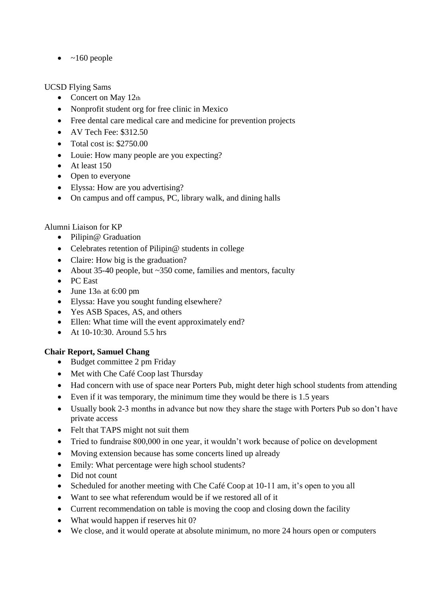$\bullet$  ~160 people

## UCSD Flying Sams

- Concert on May 12th
- Nonprofit student org for free clinic in Mexico
- Free dental care medical care and medicine for prevention projects
- $\bullet$  AV Tech Fee: \$312.50
- $\bullet$  Total cost is: \$2750.00
- Louie: How many people are you expecting?
- $\bullet$  At least 150
- Open to everyone
- Elyssa: How are you advertising?
- On campus and off campus, PC, library walk, and dining halls

# Alumni Liaison for KP

- Pilipin@ Graduation
- Celebrates retention of Pilipin@ students in college
- Claire: How big is the graduation?
- About 35-40 people, but ~350 come, families and mentors, faculty
- PC East
- $\bullet$  June 13th at 6:00 pm
- Elyssa: Have you sought funding elsewhere?
- Yes ASB Spaces, AS, and others
- Ellen: What time will the event approximately end?
- At 10-10:30. Around 5.5 hrs

# **Chair Report, Samuel Chang**

- Budget committee 2 pm Friday
- Met with Che Café Coop last Thursday
- Had concern with use of space near Porters Pub, might deter high school students from attending
- Even if it was temporary, the minimum time they would be there is 1.5 years
- Usually book 2-3 months in advance but now they share the stage with Porters Pub so don't have private access
- Felt that TAPS might not suit them
- Tried to fundraise 800,000 in one year, it wouldn't work because of police on development
- Moving extension because has some concerts lined up already
- Emily: What percentage were high school students?
- Did not count
- Scheduled for another meeting with Che Café Coop at 10-11 am, it's open to you all
- Want to see what referendum would be if we restored all of it
- Current recommendation on table is moving the coop and closing down the facility
- What would happen if reserves hit 0?
- We close, and it would operate at absolute minimum, no more 24 hours open or computers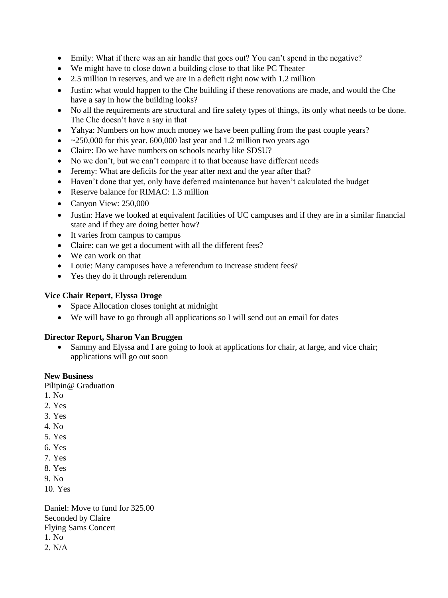- Emily: What if there was an air handle that goes out? You can't spend in the negative?
- We might have to close down a building close to that like PC Theater
- 2.5 million in reserves, and we are in a deficit right now with 1.2 million
- Justin: what would happen to the Che building if these renovations are made, and would the Che have a say in how the building looks?
- No all the requirements are structural and fire safety types of things, its only what needs to be done. The Che doesn't have a say in that
- Yahya: Numbers on how much money we have been pulling from the past couple years?
- $\sim$  ~250,000 for this year. 600,000 last year and 1.2 million two years ago
- Claire: Do we have numbers on schools nearby like SDSU?
- No we don't, but we can't compare it to that because have different needs
- Jeremy: What are deficits for the year after next and the year after that?
- Haven't done that yet, only have deferred maintenance but haven't calculated the budget
- Reserve balance for RIMAC: 1.3 million
- Canyon View: 250,000
- Justin: Have we looked at equivalent facilities of UC campuses and if they are in a similar financial state and if they are doing better how?
- It varies from campus to campus
- Claire: can we get a document with all the different fees?
- We can work on that
- Louie: Many campuses have a referendum to increase student fees?
- Yes they do it through referendum

#### **Vice Chair Report, Elyssa Droge**

- Space Allocation closes tonight at midnight
- We will have to go through all applications so I will send out an email for dates

#### **Director Report, Sharon Van Bruggen**

• Sammy and Elyssa and I are going to look at applications for chair, at large, and vice chair; applications will go out soon

### **New Business**

Pilipin@ Graduation

- 1. No
- 2. Yes
- 3. Yes
- 4. No
- 5. Yes
- 6. Yes
- 7. Yes
- 8. Yes
- 9. No

10. Yes

Daniel: Move to fund for 325.00 Seconded by Claire Flying Sams Concert 1. No 2. N/A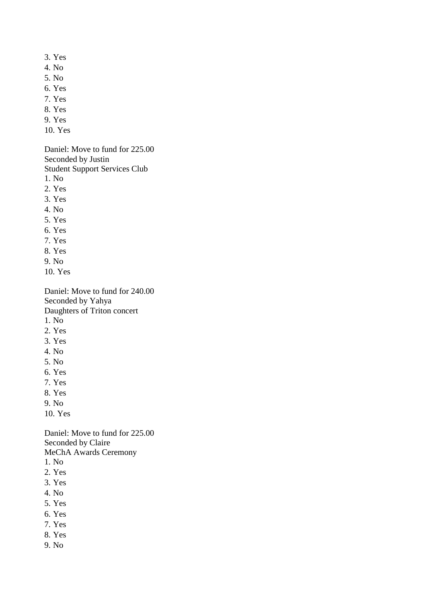- 3. Yes
- 4. No
- 5. No
- 6. Yes
- 7. Yes
- 8. Yes
- 9. Yes
- 10. Yes

Daniel: Move to fund for 225.00 Seconded by Justin

Student Support Services Club

- 1. No
- 2. Yes
- 3. Yes
- 4. No
- 5. Yes
- 6. Yes
- 7. Yes
- 8. Yes
- 9. No
- 10. Yes

Daniel: Move to fund for 240.00 Seconded by Yahya Daughters of Triton concert 1. No

- 2. Yes
- 3. Yes
- 4. No
- 5. No
- 6. Yes
- 7. Yes
- 
- 8. Yes
- 9. No
- 10. Yes

Daniel: Move to fund for 225.00 Seconded by Claire MeChA Awards Ceremony

- 1. No
- 2. Yes
- 3. Yes
- 4. No
- 5. Yes
- 6. Yes
- 7. Yes
- 8. Yes
- 9. No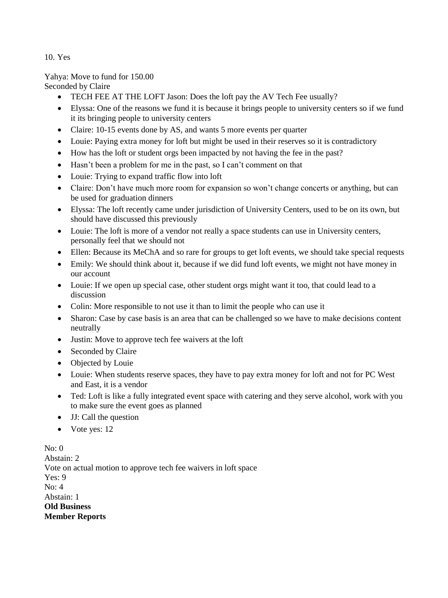10. Yes

Yahya: Move to fund for 150.00 Seconded by Claire

- TECH FEE AT THE LOFT Jason: Does the loft pay the AV Tech Fee usually?
- Elyssa: One of the reasons we fund it is because it brings people to university centers so if we fund it its bringing people to university centers
- Claire: 10-15 events done by AS, and wants 5 more events per quarter
- Louie: Paying extra money for loft but might be used in their reserves so it is contradictory
- How has the loft or student orgs been impacted by not having the fee in the past?
- Hasn't been a problem for me in the past, so I can't comment on that
- Louie: Trying to expand traffic flow into loft
- Claire: Don't have much more room for expansion so won't change concerts or anything, but can be used for graduation dinners
- Elyssa: The loft recently came under jurisdiction of University Centers, used to be on its own, but should have discussed this previously
- Louie: The loft is more of a vendor not really a space students can use in University centers, personally feel that we should not
- Ellen: Because its MeChA and so rare for groups to get loft events, we should take special requests
- Emily: We should think about it, because if we did fund loft events, we might not have money in our account
- Louie: If we open up special case, other student orgs might want it too, that could lead to a discussion
- Colin: More responsible to not use it than to limit the people who can use it
- Sharon: Case by case basis is an area that can be challenged so we have to make decisions content neutrally
- Justin: Move to approve tech fee waivers at the loft
- Seconded by Claire
- Objected by Louie
- Louie: When students reserve spaces, they have to pay extra money for loft and not for PC West and East, it is a vendor
- Ted: Loft is like a fully integrated event space with catering and they serve alcohol, work with you to make sure the event goes as planned
- JJ: Call the question
- Vote yes: 12

No: 0 Abstain: 2 Vote on actual motion to approve tech fee waivers in loft space  $Yes.9$  $N_0$ : 4 Abstain: 1 **Old Business Member Reports**